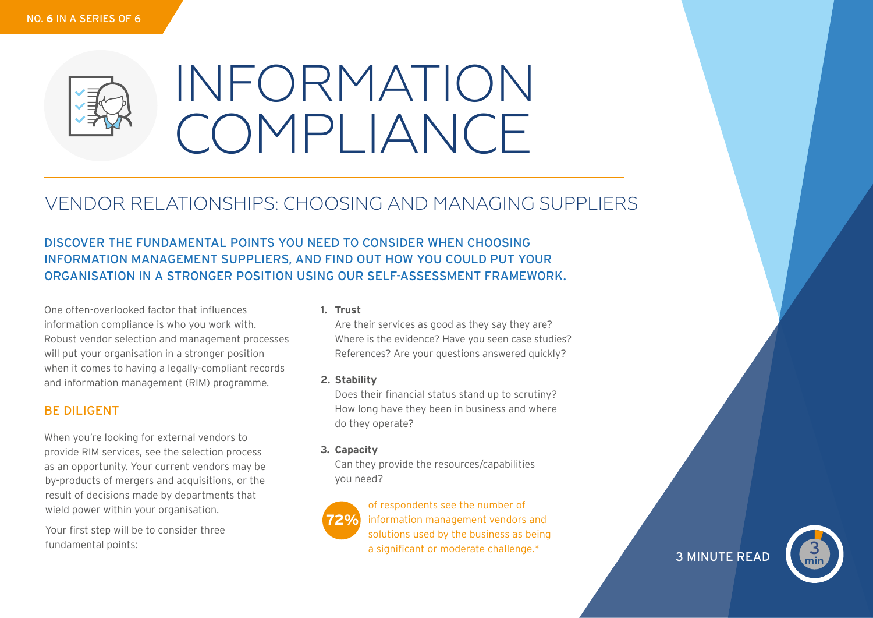

# INFORMATION COMPLIANCE

# VENDOR RELATIONSHIPS: CHOOSING AND MANAGING SUPPLIERS

DISCOVER THE FUNDAMENTAL POINTS YOU NEED TO CONSIDER WHEN CHOOSING INFORMATION MANAGEMENT SUPPLIERS, AND FIND OUT HOW YOU COULD PUT YOUR ORGANISATION IN A STRONGER POSITION USING OUR SELF-ASSESSMENT FRAMEWORK.

One often-overlooked factor that influences information compliance is who you work with. Robust vendor selection and management processes will put your organisation in a stronger position when it comes to having a legally-compliant records and information management (RIM) programme.

## BE DILIGENT

When you're looking for external vendors to provide RIM services, see the selection process as an opportunity. Your current vendors may be by-products of mergers and acquisitions, or the result of decisions made by departments that wield power within your organisation.

Your first step will be to consider three fundamental points:

#### **1. Trust**

Are their services as good as they say they are? Where is the evidence? Have you seen case studies? References? Are your questions answered quickly?

#### **2. Stability**

Does their financial status stand up to scrutiny? How long have they been in business and where do they operate?

#### **3. Capacity**

Can they provide the resources/capabilities you need?



of respondents see the number of information management vendors and solutions used by the business as being a significant or moderate challenge.\*

**3 MINUTE READ**